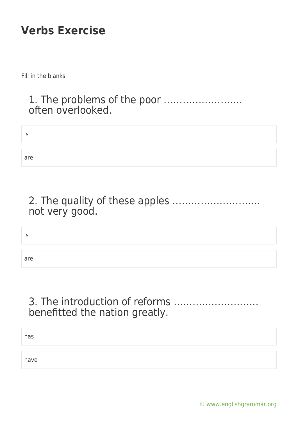Fill in the blanks

#### 1. The problems of the poor ……………………. often overlooked.

| IS  |  |  |
|-----|--|--|
| are |  |  |

### 2. The quality of these apples ………………………. not very good.

is

are

## 3. The introduction of reforms ……………………… benefitted the nation greatly.

has

have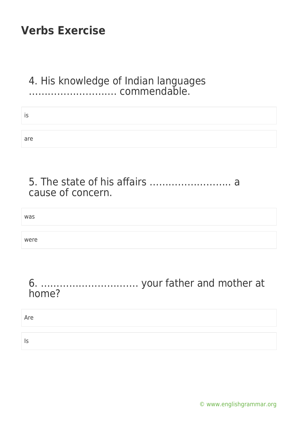#### 4. His knowledge of Indian languages ………………………. commendable.

| IS  |  |
|-----|--|
|     |  |
| are |  |

| cause of concern. |  |
|-------------------|--|

# was were

#### 6. …………………………. your father and mother at home?

#### Are

Is

[© www.englishgrammar.org](https://www.englishgrammar.org/)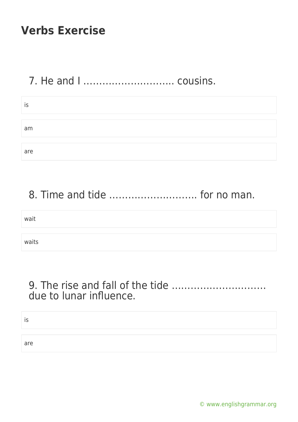# 7. He and I ……………………….. cousins.

| İS  |  |
|-----|--|
|     |  |
| am  |  |
|     |  |
| are |  |

# 8. Time and tide ………………………. for no man.

| wait  |  |
|-------|--|
|       |  |
| waits |  |

#### 9. The rise and fall of the tide ………………………… due to lunar influence.

| ۔ ا |  |
|-----|--|
|     |  |
| are |  |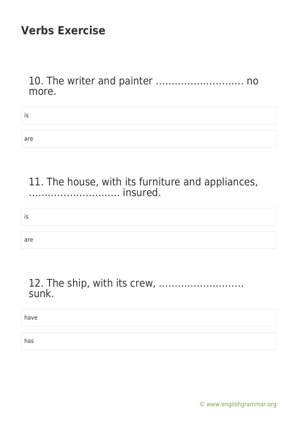10. The writer and painter ………………………. no more.

| . . |  |
|-----|--|
|     |  |
| are |  |

11. The house, with its furniture and appliances, ……………………….. insured.

#### is

are

### 12. The ship, with its crew, ……………………… sunk.

have

has

[© www.englishgrammar.org](https://www.englishgrammar.org/)